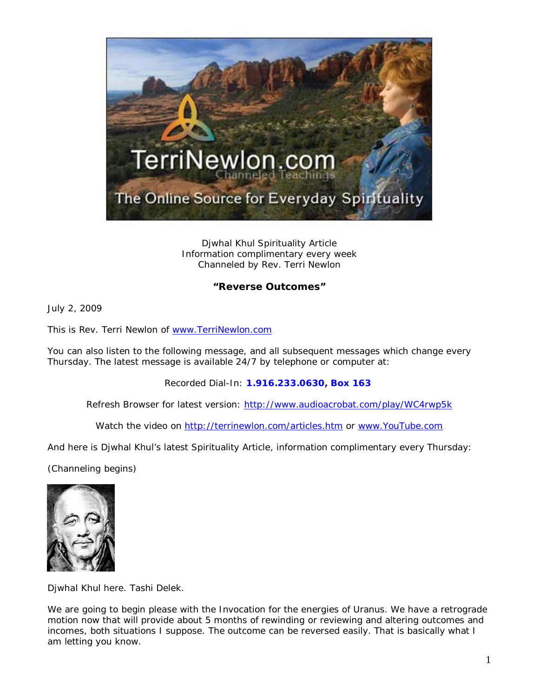

Djwhal Khul Spirituality Article Information complimentary every week Channeled by Rev. Terri Newlon

## **"Reverse Outcomes"**

July 2, 2009

This is Rev. Terri Newlon of [www.TerriNewlon.com](http://www.terrinewlon.com/)

You can also listen to the following message, and all subsequent messages which change every Thursday. The latest message is available 24/7 by telephone or computer at:

Recorded Dial-In: **1.916.233.0630, Box 163**

Refresh Browser for latest version: <http://www.audioacrobat.com/play/WC4rwp5k>

Watch the video on<http://terrinewlon.com/articles.htm> or [www.YouTube.com](http://www.youtube.com/)

And here is Djwhal Khul's latest Spirituality Article, information complimentary every Thursday:

(Channeling begins)



Djwhal Khul here. Tashi Delek.

We are going to begin please with the Invocation for the energies of Uranus. We have a retrograde motion now that will provide about 5 months of rewinding or reviewing and altering outcomes and incomes, both situations I suppose. The outcome can be reversed easily. That is basically what I am letting you know.